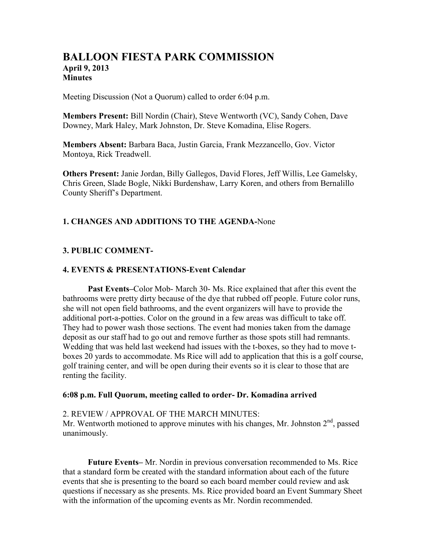# **BALLOON FIESTA PARK COMMISSION April 9, 2013 Minutes**

Meeting Discussion (Not a Quorum) called to order 6:04 p.m.

**Members Present:** Bill Nordin (Chair), Steve Wentworth (VC), Sandy Cohen, Dave Downey, Mark Haley, Mark Johnston, Dr. Steve Komadina, Elise Rogers.

**Members Absent:** Barbara Baca, Justin Garcia, Frank Mezzancello, Gov. Victor Montoya, Rick Treadwell.

**Others Present:** Janie Jordan, Billy Gallegos, David Flores, Jeff Willis, Lee Gamelsky, Chris Green, Slade Bogle, Nikki Burdenshaw, Larry Koren, and others from Bernalillo County Sheriff's Department.

## **1. CHANGES AND ADDITIONS TO THE AGENDA-**None

### **3. PUBLIC COMMENT-**

#### **4. EVENTS & PRESENTATIONS-Event Calendar**

**Past Events–**Color Mob- March 30- Ms. Rice explained that after this event the bathrooms were pretty dirty because of the dye that rubbed off people. Future color runs, she will not open field bathrooms, and the event organizers will have to provide the additional port-a-potties. Color on the ground in a few areas was difficult to take off. They had to power wash those sections. The event had monies taken from the damage deposit as our staff had to go out and remove further as those spots still had remnants. Wedding that was held last weekend had issues with the t-boxes, so they had to move tboxes 20 yards to accommodate. Ms Rice will add to application that this is a golf course, golf training center, and will be open during their events so it is clear to those that are renting the facility.

#### **6:08 p.m. Full Quorum, meeting called to order- Dr. Komadina arrived**

#### 2. REVIEW / APPROVAL OF THE MARCH MINUTES:

Mr. Wentworth motioned to approve minutes with his changes, Mr. Johnston  $2<sup>nd</sup>$ , passed unanimously.

**Future Events–** Mr. Nordin in previous conversation recommended to Ms. Rice that a standard form be created with the standard information about each of the future events that she is presenting to the board so each board member could review and ask questions if necessary as she presents. Ms. Rice provided board an Event Summary Sheet with the information of the upcoming events as Mr. Nordin recommended.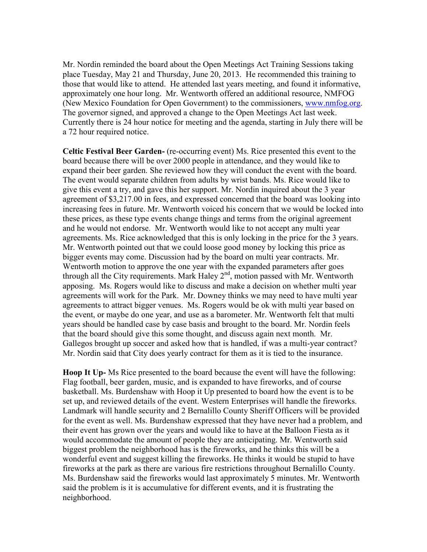Mr. Nordin reminded the board about the Open Meetings Act Training Sessions taking place Tuesday, May 21 and Thursday, June 20, 2013. He recommended this training to those that would like to attend. He attended last years meeting, and found it informative, approximately one hour long. Mr. Wentworth offered an additional resource, NMFOG (New Mexico Foundation for Open Government) to the commissioners, www.nmfog.org. The governor signed, and approved a change to the Open Meetings Act last week. Currently there is 24 hour notice for meeting and the agenda, starting in July there will be a 72 hour required notice.

**Celtic Festival Beer Garden-** (re-occurring event) Ms. Rice presented this event to the board because there will be over 2000 people in attendance, and they would like to expand their beer garden. She reviewed how they will conduct the event with the board. The event would separate children from adults by wrist bands. Ms. Rice would like to give this event a try, and gave this her support. Mr. Nordin inquired about the 3 year agreement of \$3,217.00 in fees, and expressed concerned that the board was looking into increasing fees in future. Mr. Wentworth voiced his concern that we would be locked into these prices, as these type events change things and terms from the original agreement and he would not endorse. Mr. Wentworth would like to not accept any multi year agreements. Ms. Rice acknowledged that this is only locking in the price for the 3 years. Mr. Wentworth pointed out that we could loose good money by locking this price as bigger events may come. Discussion had by the board on multi year contracts. Mr. Wentworth motion to approve the one year with the expanded parameters after goes through all the City requirements. Mark Haley  $2<sup>nd</sup>$ , motion passed with Mr. Wentworth apposing. Ms. Rogers would like to discuss and make a decision on whether multi year agreements will work for the Park. Mr. Downey thinks we may need to have multi year agreements to attract bigger venues. Ms. Rogers would be ok with multi year based on the event, or maybe do one year, and use as a barometer. Mr. Wentworth felt that multi years should be handled case by case basis and brought to the board. Mr. Nordin feels that the board should give this some thought, and discuss again next month. Mr. Gallegos brought up soccer and asked how that is handled, if was a multi-year contract? Mr. Nordin said that City does yearly contract for them as it is tied to the insurance.

**Hoop It Up-** Ms Rice presented to the board because the event will have the following: Flag football, beer garden, music, and is expanded to have fireworks, and of course basketball. Ms. Burdenshaw with Hoop it Up presented to board how the event is to be set up, and reviewed details of the event. Western Enterprises will handle the fireworks. Landmark will handle security and 2 Bernalillo County Sheriff Officers will be provided for the event as well. Ms. Burdenshaw expressed that they have never had a problem, and their event has grown over the years and would like to have at the Balloon Fiesta as it would accommodate the amount of people they are anticipating. Mr. Wentworth said biggest problem the neighborhood has is the fireworks, and he thinks this will be a wonderful event and suggest killing the fireworks. He thinks it would be stupid to have fireworks at the park as there are various fire restrictions throughout Bernalillo County. Ms. Burdenshaw said the fireworks would last approximately 5 minutes. Mr. Wentworth said the problem is it is accumulative for different events, and it is frustrating the neighborhood.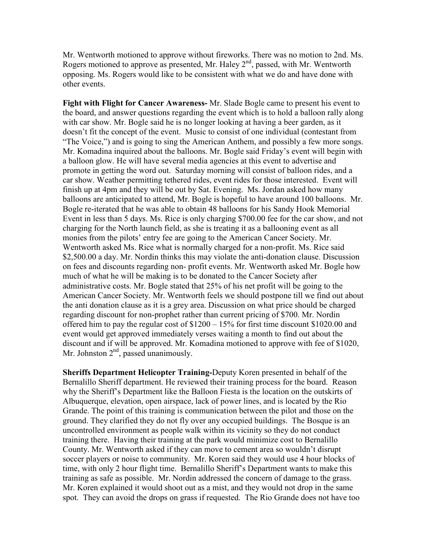Mr. Wentworth motioned to approve without fireworks. There was no motion to 2nd. Ms. Rogers motioned to approve as presented, Mr. Haley  $2<sup>nd</sup>$ , passed, with Mr. Wentworth opposing. Ms. Rogers would like to be consistent with what we do and have done with other events.

**Fight with Flight for Cancer Awareness-** Mr. Slade Bogle came to present his event to the board, and answer questions regarding the event which is to hold a balloon rally along with car show. Mr. Bogle said he is no longer looking at having a beer garden, as it doesn't fit the concept of the event. Music to consist of one individual (contestant from "The Voice,") and is going to sing the American Anthem, and possibly a few more songs. Mr. Komadina inquired about the balloons. Mr. Bogle said Friday's event will begin with a balloon glow. He will have several media agencies at this event to advertise and promote in getting the word out. Saturday morning will consist of balloon rides, and a car show. Weather permitting tethered rides, event rides for those interested. Event will finish up at 4pm and they will be out by Sat. Evening. Ms. Jordan asked how many balloons are anticipated to attend, Mr. Bogle is hopeful to have around 100 balloons. Mr. Bogle re-iterated that he was able to obtain 48 balloons for his Sandy Hook Memorial Event in less than 5 days. Ms. Rice is only charging \$700.00 fee for the car show, and not charging for the North launch field, as she is treating it as a ballooning event as all monies from the pilots' entry fee are going to the American Cancer Society. Mr. Wentworth asked Ms. Rice what is normally charged for a non-profit. Ms. Rice said \$2,500.00 a day. Mr. Nordin thinks this may violate the anti-donation clause. Discussion on fees and discounts regarding non- profit events. Mr. Wentworth asked Mr. Bogle how much of what he will be making is to be donated to the Cancer Society after administrative costs. Mr. Bogle stated that 25% of his net profit will be going to the American Cancer Society. Mr. Wentworth feels we should postpone till we find out about the anti donation clause as it is a grey area. Discussion on what price should be charged regarding discount for non-prophet rather than current pricing of \$700. Mr. Nordin offered him to pay the regular cost of \$1200 – 15% for first time discount \$1020.00 and event would get approved immediately verses waiting a month to find out about the discount and if will be approved. Mr. Komadina motioned to approve with fee of \$1020, Mr. Johnston  $2<sup>nd</sup>$ , passed unanimously.

**Sheriffs Department Helicopter Training-**Deputy Koren presented in behalf of the Bernalillo Sheriff department. He reviewed their training process for the board. Reason why the Sheriff's Department like the Balloon Fiesta is the location on the outskirts of Albuquerque, elevation, open airspace, lack of power lines, and is located by the Rio Grande. The point of this training is communication between the pilot and those on the ground. They clarified they do not fly over any occupied buildings. The Bosque is an uncontrolled environment as people walk within its vicinity so they do not conduct training there. Having their training at the park would minimize cost to Bernalillo County. Mr. Wentworth asked if they can move to cement area so wouldn't disrupt soccer players or noise to community. Mr. Koren said they would use 4 hour blocks of time, with only 2 hour flight time. Bernalillo Sheriff's Department wants to make this training as safe as possible. Mr. Nordin addressed the concern of damage to the grass. Mr. Koren explained it would shoot out as a mist, and they would not drop in the same spot. They can avoid the drops on grass if requested. The Rio Grande does not have too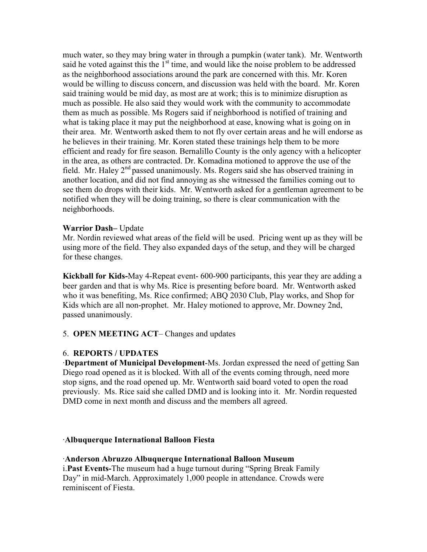much water, so they may bring water in through a pumpkin (water tank). Mr. Wentworth said he voted against this the  $1<sup>st</sup>$  time, and would like the noise problem to be addressed as the neighborhood associations around the park are concerned with this. Mr. Koren would be willing to discuss concern, and discussion was held with the board. Mr. Koren said training would be mid day, as most are at work; this is to minimize disruption as much as possible. He also said they would work with the community to accommodate them as much as possible. Ms Rogers said if neighborhood is notified of training and what is taking place it may put the neighborhood at ease, knowing what is going on in their area. Mr. Wentworth asked them to not fly over certain areas and he will endorse as he believes in their training. Mr. Koren stated these trainings help them to be more efficient and ready for fire season. Bernalillo County is the only agency with a helicopter in the area, as others are contracted. Dr. Komadina motioned to approve the use of the field. Mr. Haley  $2<sup>nd</sup>$  passed unanimously. Ms. Rogers said she has observed training in another location, and did not find annoying as she witnessed the families coming out to see them do drops with their kids. Mr. Wentworth asked for a gentleman agreement to be notified when they will be doing training, so there is clear communication with the neighborhoods.

### **Warrior Dash–** Update

Mr. Nordin reviewed what areas of the field will be used. Pricing went up as they will be using more of the field. They also expanded days of the setup, and they will be charged for these changes.

**Kickball for Kids-**May 4-Repeat event- 600-900 participants, this year they are adding a beer garden and that is why Ms. Rice is presenting before board. Mr. Wentworth asked who it was benefiting, Ms. Rice confirmed; ABQ 2030 Club, Play works, and Shop for Kids which are all non-prophet. Mr. Haley motioned to approve, Mr. Downey 2nd, passed unanimously.

## 5. **OPEN MEETING ACT**– Changes and updates

## 6. **REPORTS / UPDATES**

·**Department of Municipal Development**-Ms. Jordan expressed the need of getting San Diego road opened as it is blocked. With all of the events coming through, need more stop signs, and the road opened up. Mr. Wentworth said board voted to open the road previously. Ms. Rice said she called DMD and is looking into it. Mr. Nordin requested DMD come in next month and discuss and the members all agreed.

### ·**Albuquerque International Balloon Fiesta**

### ·**Anderson Abruzzo Albuquerque International Balloon Museum**

i.**Past Events-**The museum had a huge turnout during "Spring Break Family Day" in mid-March. Approximately 1,000 people in attendance. Crowds were reminiscent of Fiesta.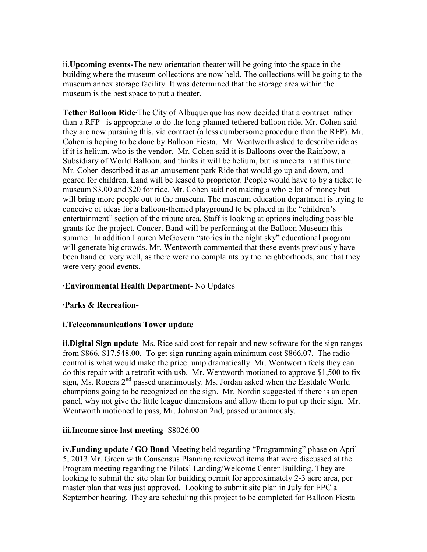ii.**Upcoming events-**The new orientation theater will be going into the space in the building where the museum collections are now held. The collections will be going to the museum annex storage facility. It was determined that the storage area within the museum is the best space to put a theater.

**Tether Balloon Ride·**The City of Albuquerque has now decided that a contract–rather than a RFP– is appropriate to do the long-planned tethered balloon ride. Mr. Cohen said they are now pursuing this, via contract (a less cumbersome procedure than the RFP). Mr. Cohen is hoping to be done by Balloon Fiesta. Mr. Wentworth asked to describe ride as if it is helium, who is the vendor. Mr. Cohen said it is Balloons over the Rainbow, a Subsidiary of World Balloon, and thinks it will be helium, but is uncertain at this time. Mr. Cohen described it as an amusement park Ride that would go up and down, and geared for children. Land will be leased to proprietor. People would have to by a ticket to museum \$3.00 and \$20 for ride. Mr. Cohen said not making a whole lot of money but will bring more people out to the museum. The museum education department is trying to conceive of ideas for a balloon-themed playground to be placed in the "children's entertainment" section of the tribute area. Staff is looking at options including possible grants for the project. Concert Band will be performing at the Balloon Museum this summer. In addition Lauren McGovern "stories in the night sky" educational program will generate big crowds. Mr. Wentworth commented that these events previously have been handled very well, as there were no complaints by the neighborhoods, and that they were very good events.

## **·Environmental Health Department-** No Updates

### **·Parks & Recreation-**

### **i.Telecommunications Tower update**

**ii.Digital Sign update–**Ms. Rice said cost for repair and new software for the sign ranges from \$866, \$17,548.00. To get sign running again minimum cost \$866.07. The radio control is what would make the price jump dramatically. Mr. Wentworth feels they can do this repair with a retrofit with usb. Mr. Wentworth motioned to approve \$1,500 to fix sign, Ms. Rogers 2<sup>nd</sup> passed unanimously. Ms. Jordan asked when the Eastdale World champions going to be recognized on the sign. Mr. Nordin suggested if there is an open panel, why not give the little league dimensions and allow them to put up their sign. Mr. Wentworth motioned to pass, Mr. Johnston 2nd, passed unanimously.

### **iii.Income since last meeting**- \$8026.00

**iv.Funding update / GO Bond**-Meeting held regarding "Programming" phase on April 5, 2013.Mr. Green with Consensus Planning reviewed items that were discussed at the Program meeting regarding the Pilots' Landing/Welcome Center Building. They are looking to submit the site plan for building permit for approximately 2-3 acre area, per master plan that was just approved. Looking to submit site plan in July for EPC a September hearing. They are scheduling this project to be completed for Balloon Fiesta